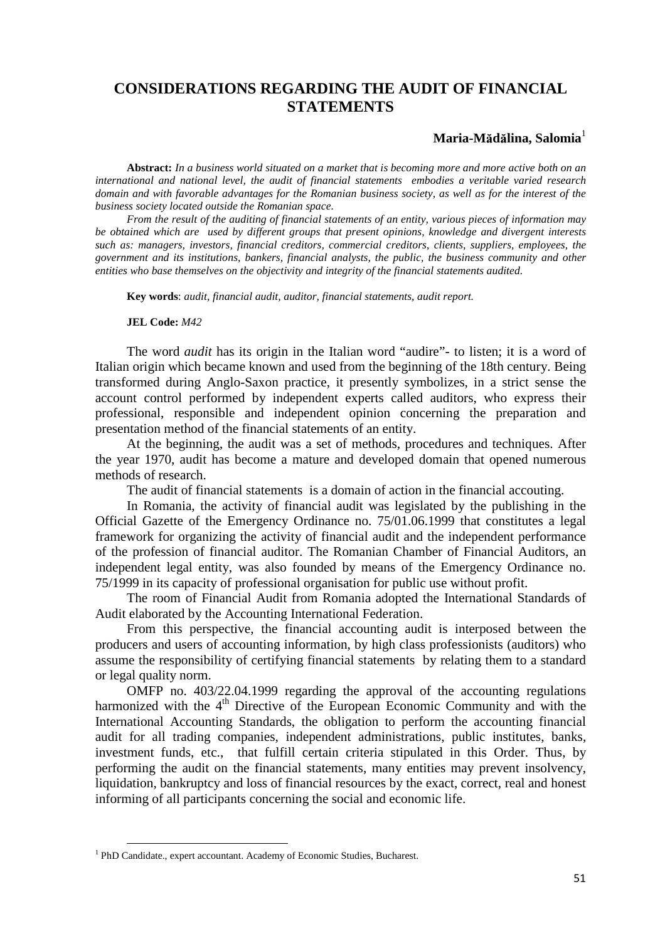# **CONSIDERATIONS REGARDING THE AUDIT OF FINANCIAL STATEMENTS**

## $$

**Abstract:** *In a business world situated on a market that is becoming more and more active both on an international and national level, the audit of financial statements embodies a veritable varied research domain and with favorable advantages for the Romanian business society, as well as for the interest of the business society located outside the Romanian space.*

*From the result of the auditing of financial statements of an entity, various pieces of information may be obtained which are used by different groups that present opinions, knowledge and divergent interests such as: managers, investors, financial creditors, commercial creditors, clients, suppliers, employees, the government and its institutions, bankers, financial analysts, the public, the business community and other entities who base themselves on the objectivity and integrity of the financial statements audited.*

**Key words**: *audit, financial audit, auditor, financial statements, audit report.*

#### **JEL Code:** *M42*

The word *audit* has its origin in the Italian word "audire"- to listen; it is a word of Italian origin which became known and used from the beginning of the 18th century. Being transformed during Anglo-Saxon practice, it presently symbolizes, in a strict sense the account control performed by independent experts called auditors, who express their professional, responsible and independent opinion concerning the preparation and presentation method of the financial statements of an entity.

At the beginning, the audit was a set of methods, procedures and techniques. After the year 1970, audit has become a mature and developed domain that opened numerous methods of research.

The audit of financial statements is a domain of action in the financial accouting.

In Romania, the activity of financial audit was legislated by the publishing in the Official Gazette of the Emergency Ordinance no. 75/01.06.1999 that constitutes a legal framework for organizing the activity of financial audit and the independent performance of the profession of financial auditor. The Romanian Chamber of Financial Auditors, an independent legal entity, was also founded by means of the Emergency Ordinance no. 75/1999 in its capacity of professional organisation for public use without profit.

The room of Financial Audit from Romania adopted the International Standards of Audit elaborated by the Accounting International Federation.

From this perspective, the financial accounting audit is interposed between the producers and users of accounting information, by high class professionists (auditors) who assume the responsibility of certifying financial statements by relating them to a standard or legal quality norm.

OMFP no. 403/22.04.1999 regarding the approval of the accounting regulations harmonized with the  $4<sup>th</sup>$  Directive of the European Economic Community and with the International Accounting Standards, the obligation to perform the accounting financial audit for all trading companies, independent administrations, public institutes, banks, investment funds, etc., that fulfill certain criteria stipulated in this Order. Thus, by performing the audit on the financial statements, many entities may prevent insolvency, liquidation, bankruptcy and loss of financial resources by the exact, correct, real and honest informing of all participants concerning the social and economic life.

<sup>&</sup>lt;sup>1</sup> PhD Candidate., expert accountant. Academy of Economic Studies, Bucharest.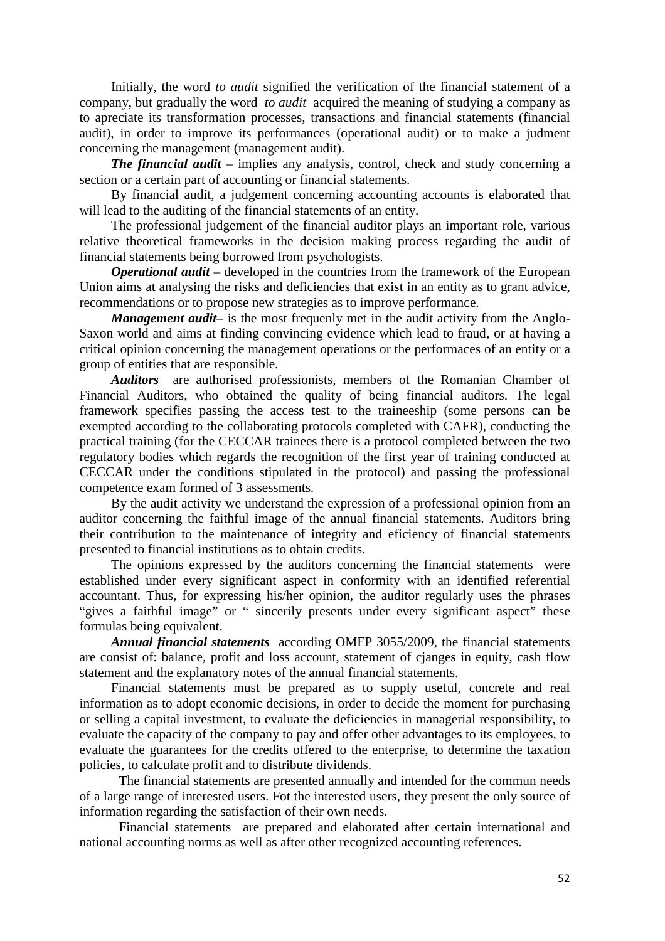Initially, the word *to audit* signified the verification of the financial statement of a company, but gradually the word *to audit* acquired the meaning of studying a company as to apreciate its transformation processes, transactions and financial statements (financial audit), in order to improve its performances (operational audit) or to make a judment concerning the management (management audit).

*The financial audit* – implies any analysis, control, check and study concerning a section or a certain part of accounting or financial statements.

By financial audit, a judgement concerning accounting accounts is elaborated that will lead to the auditing of the financial statements of an entity.

The professional judgement of the financial auditor plays an important role, various relative theoretical frameworks in the decision making process regarding the audit of financial statements being borrowed from psychologists.

*Operational audit* – developed in the countries from the framework of the European Union aims at analysing the risks and deficiencies that exist in an entity as to grant advice, recommendations or to propose new strategies as to improve performance.

*Management audit*– is the most frequenly met in the audit activity from the Anglo-Saxon world and aims at finding convincing evidence which lead to fraud, or at having a critical opinion concerning the management operations or the performaces of an entity or a group of entities that are responsible.

*Auditors* are authorised professionists, members of the Romanian Chamber of Financial Auditors, who obtained the quality of being financial auditors. The legal framework specifies passing the access test to the traineeship (some persons can be exempted according to the collaborating protocols completed with CAFR), conducting the practical training (for the CECCAR trainees there is a protocol completed between the two regulatory bodies which regards the recognition of the first year of training conducted at CECCAR under the conditions stipulated in the protocol) and passing the professional competence exam formed of 3 assessments.

By the audit activity we understand the expression of a professional opinion from an auditor concerning the faithful image of the annual financial statements. Auditors bring their contribution to the maintenance of integrity and eficiency of financial statements presented to financial institutions as to obtain credits.

The opinions expressed by the auditors concerning the financial statements were established under every significant aspect in conformity with an identified referential accountant. Thus, for expressing his/her opinion, the auditor regularly uses the phrases "gives a faithful image" or " sincerily presents under every significant aspect" these formulas being equivalent.

*Annual financial statements* according OMFP 3055/2009, the financial statements are consist of: balance, profit and loss account, statement of cjanges in equity, cash flow statement and the explanatory notes of the annual financial statements.

Financial statements must be prepared as to supply useful, concrete and real information as to adopt economic decisions, in order to decide the moment for purchasing or selling a capital investment, to evaluate the deficiencies in managerial responsibility, to evaluate the capacity of the company to pay and offer other advantages to its employees, to evaluate the guarantees for the credits offered to the enterprise, to determine the taxation policies, to calculate profit and to distribute dividends.

The financial statements are presented annually and intended for the commun needs of a large range of interested users. Fot the interested users, they present the only source of information regarding the satisfaction of their own needs.

Financial statements are prepared and elaborated after certain international and national accounting norms as well as after other recognized accounting references.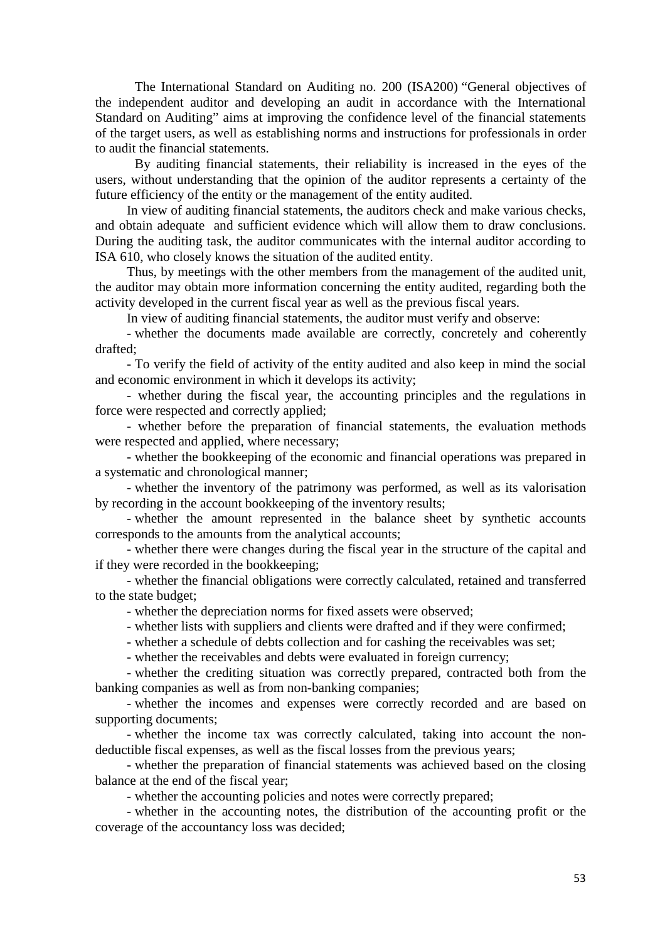The International Standard on Auditing no. 200 (ISA200) "General objectives of the independent auditor and developing an audit in accordance with the International Standard on Auditing" aims at improving the confidence level of the financial statements of the target users, as well as establishing norms and instructions for professionals in order to audit the financial statements.

By auditing financial statements, their reliability is increased in the eyes of the users, without understanding that the opinion of the auditor represents a certainty of the future efficiency of the entity or the management of the entity audited.

In view of auditing financial statements, the auditors check and make various checks, and obtain adequate and sufficient evidence which will allow them to draw conclusions. During the auditing task, the auditor communicates with the internal auditor according to ISA 610, who closely knows the situation of the audited entity.

Thus, by meetings with the other members from the management of the audited unit, the auditor may obtain more information concerning the entity audited, regarding both the activity developed in the current fiscal year as well as the previous fiscal years.

In view of auditing financial statements, the auditor must verify and observe:

- whether the documents made available are correctly, concretely and coherently drafted;

- To verify the field of activity of the entity audited and also keep in mind the social and economic environment in which it develops its activity;

- whether during the fiscal year, the accounting principles and the regulations in force were respected and correctly applied;

- whether before the preparation of financial statements, the evaluation methods were respected and applied, where necessary;

- whether the bookkeeping of the economic and financial operations was prepared in a systematic and chronological manner;

- whether the inventory of the patrimony was performed, as well as its valorisation by recording in the account bookkeeping of the inventory results;

- whether the amount represented in the balance sheet by synthetic accounts corresponds to the amounts from the analytical accounts;

- whether there were changes during the fiscal year in the structure of the capital and if they were recorded in the bookkeeping;

- whether the financial obligations were correctly calculated, retained and transferred to the state budget;

- whether the depreciation norms for fixed assets were observed;

- whether lists with suppliers and clients were drafted and if they were confirmed;

- whether a schedule of debts collection and for cashing the receivables was set;

- whether the receivables and debts were evaluated in foreign currency;

- whether the crediting situation was correctly prepared, contracted both from the banking companies as well as from non-banking companies;

- whether the incomes and expenses were correctly recorded and are based on supporting documents;

- whether the income tax was correctly calculated, taking into account the nondeductible fiscal expenses, as well as the fiscal losses from the previous years;

- whether the preparation of financial statements was achieved based on the closing balance at the end of the fiscal year;

- whether the accounting policies and notes were correctly prepared;

- whether in the accounting notes, the distribution of the accounting profit or the coverage of the accountancy loss was decided;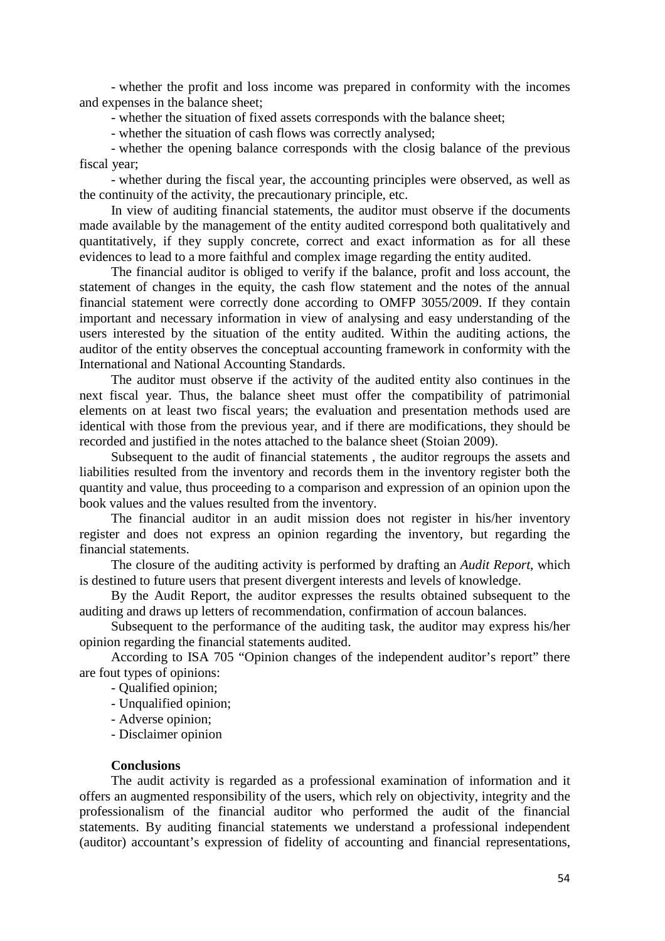- whether the profit and loss income was prepared in conformity with the incomes and expenses in the balance sheet;

- whether the situation of fixed assets corresponds with the balance sheet;

- whether the situation of cash flows was correctly analysed;

- whether the opening balance corresponds with the closig balance of the previous fiscal year;

- whether during the fiscal year, the accounting principles were observed, as well as the continuity of the activity, the precautionary principle, etc.

In view of auditing financial statements, the auditor must observe if the documents made available by the management of the entity audited correspond both qualitatively and quantitatively, if they supply concrete, correct and exact information as for all these evidences to lead to a more faithful and complex image regarding the entity audited.

The financial auditor is obliged to verify if the balance, profit and loss account, the statement of changes in the equity, the cash flow statement and the notes of the annual financial statement were correctly done according to OMFP 3055/2009. If they contain important and necessary information in view of analysing and easy understanding of the users interested by the situation of the entity audited. Within the auditing actions, the auditor of the entity observes the conceptual accounting framework in conformity with the International and National Accounting Standards.

The auditor must observe if the activity of the audited entity also continues in the next fiscal year. Thus, the balance sheet must offer the compatibility of patrimonial elements on at least two fiscal years; the evaluation and presentation methods used are identical with those from the previous year, and if there are modifications, they should be recorded and justified in the notes attached to the balance sheet (Stoian 2009).

Subsequent to the audit of financial statements , the auditor regroups the assets and liabilities resulted from the inventory and records them in the inventory register both the quantity and value, thus proceeding to a comparison and expression of an opinion upon the book values and the values resulted from the inventory.

The financial auditor in an audit mission does not register in his/her inventory register and does not express an opinion regarding the inventory, but regarding the financial statements.

The closure of the auditing activity is performed by drafting an *Audit Report*, which is destined to future users that present divergent interests and levels of knowledge.

By the Audit Report, the auditor expresses the results obtained subsequent to the auditing and draws up letters of recommendation, confirmation of accoun balances.

Subsequent to the performance of the auditing task, the auditor may express his/her opinion regarding the financial statements audited.

According to ISA 705 "Opinion changes of the independent auditor's report" there are fout types of opinions:

- Qualified opinion;

- Unqualified opinion;
- Adverse opinion;
- Disclaimer opinion

# **Conclusions**

The audit activity is regarded as a professional examination of information and it offers an augmented responsibility of the users, which rely on objectivity, integrity and the professionalism of the financial auditor who performed the audit of the financial statements. By auditing financial statements we understand a professional independent (auditor) accountant's expression of fidelity of accounting and financial representations,